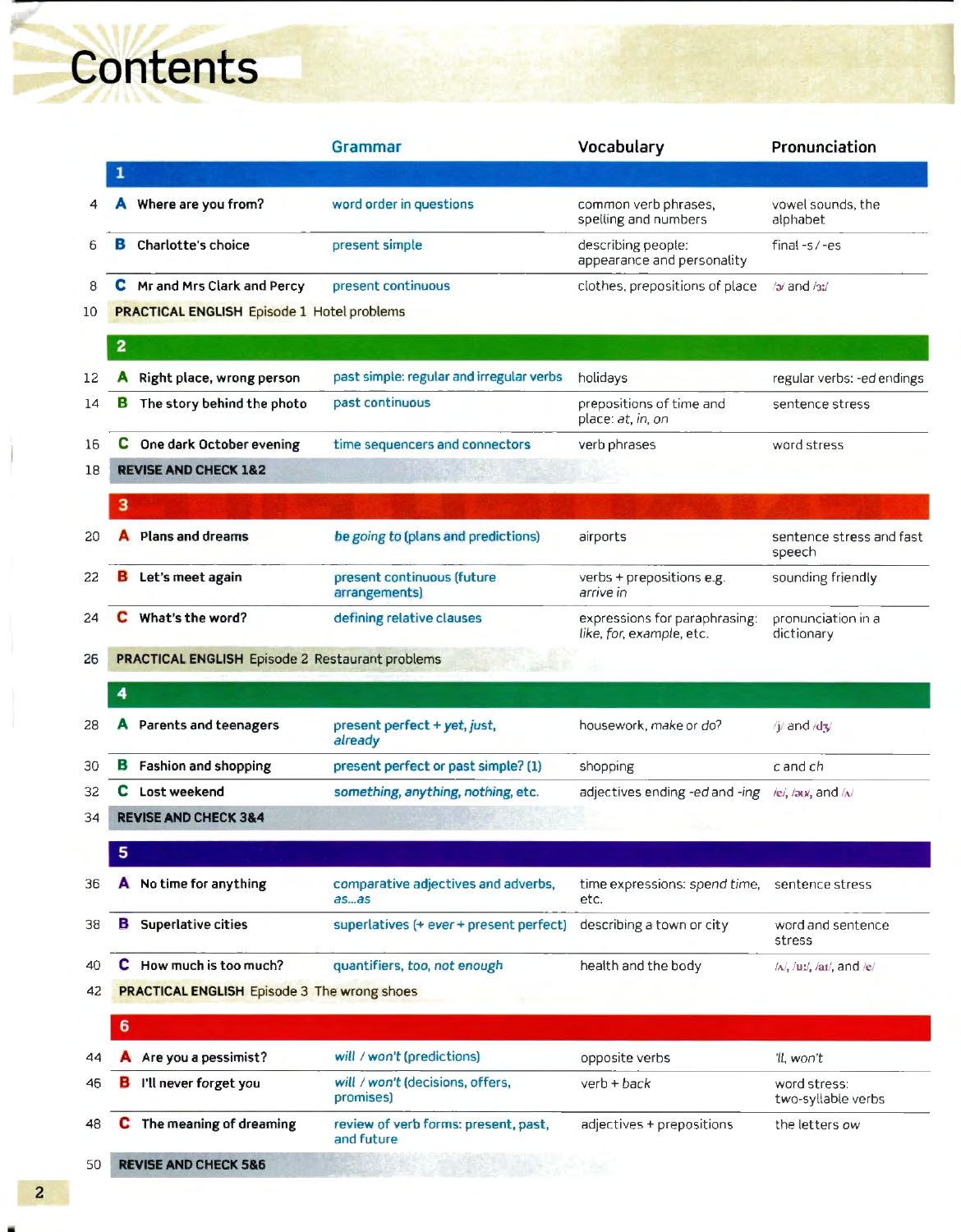**Contents** 

|    |                         |                                                        | Grammar                                            | Vocabulary                                                | Pronunciation                             |
|----|-------------------------|--------------------------------------------------------|----------------------------------------------------|-----------------------------------------------------------|-------------------------------------------|
|    |                         |                                                        |                                                    |                                                           |                                           |
|    |                         | Where are you from?                                    | word order in questions                            | common verb phrases.<br>spelling and numbers              | vowel sounds, the<br>alphabet             |
|    |                         | Charlotte's choice                                     | present simple                                     | describing people:<br>appearance and personality          | final $-5/-es$                            |
|    |                         | C Mr and Mrs Clark and Percy                           | present continuous                                 | clothes, prepositions of place                            | /a/ and /a:/                              |
|    |                         | <b>PRACTICAL ENGLISH Episode 1 Hotel problems</b>      |                                                    |                                                           |                                           |
|    | $\overline{\mathbf{z}}$ |                                                        |                                                    |                                                           |                                           |
|    |                         | Right place, wrong person                              | past simple: regular and irregular verbs           | holidays                                                  | regular verbs: -ed endings                |
|    | в                       | The story behind the photo                             | past continuous                                    | prepositions of time and<br>place: at, in, on             | sentence stress                           |
|    | с                       | One dark October evening                               | time sequencers and connectors                     | verb phrases                                              | word stress                               |
|    |                         | <b>REVISE AND CHECK 1&amp;2</b>                        |                                                    |                                                           |                                           |
|    | з                       |                                                        |                                                    |                                                           |                                           |
|    |                         | Plans and dreams                                       | be going to (plans and predictions)                | airports                                                  | sentence stress and fast<br>speech        |
|    |                         | Let's meet again                                       | present continuous (future<br>arrangements)        | verbs + prepositions e.g.<br>arrive in                    | sounding friendly                         |
|    |                         | What's the word?                                       | defining relative clauses                          | expressions for paraphrasing:<br>like, for, example, etc. | pronunciation in a<br>dictionary          |
|    |                         | <b>PRACTICAL ENGLISH Episode 2 Restaurant problems</b> |                                                    |                                                           |                                           |
|    | 4                       |                                                        |                                                    |                                                           |                                           |
|    |                         | Parents and teenagers                                  | present perfect + yet, just,<br>already            | housework, make or do?                                    | /j/ and /dʒ/                              |
|    |                         | <b>B</b> Fashion and shopping                          | present perfect or past simple? (1)                | shopping                                                  | c and ch                                  |
|    | c                       | Lost weekend                                           | something, anything, nothing, etc.                 | adjectives ending -ed and -ing                            | $/el$ , $/au$ , and $/Al$                 |
|    |                         | <b>REVISE AND CHECK 3&amp;4</b>                        |                                                    |                                                           |                                           |
|    | 5                       |                                                        |                                                    |                                                           |                                           |
|    |                         | A No time for anything                                 | comparative adjectives and adverbs,<br>$a$ s $a$ s | time expressions: spend time,<br>etc.                     | sentence stress                           |
|    | в                       | Superlative cities                                     | superlatives (+ ever + present perfect)            | describing a town or city                                 | word and sentence<br>stress               |
|    |                         | C How much is too much?                                | quantifiers, too, not enough                       | health and the body                                       | $/\lambda$ , $/\nu$ , $/\nu$ , and $/\nu$ |
| 42 |                         | <b>PRACTICAL ENGLISH Episode 3 The wrong shoes</b>     |                                                    |                                                           |                                           |
|    | 6                       |                                                        |                                                    |                                                           |                                           |
|    |                         | Are you a pessimist?                                   | will / won't (predictions)                         | opposite verbs                                            | 'll, won't                                |
|    | B                       | I'll never forget you                                  | will / won't (decisions, offers,<br>promises)      | $verb + back$                                             | word stress:<br>two-syllable verbs        |
|    | c                       | The meaning of dreaming                                | review of verb forms: present, past,<br>and future | adjectives + prepositions                                 | the letters ow                            |
| 50 |                         | <b>REVISE AND CHECK 5&amp;6</b>                        |                                                    |                                                           |                                           |